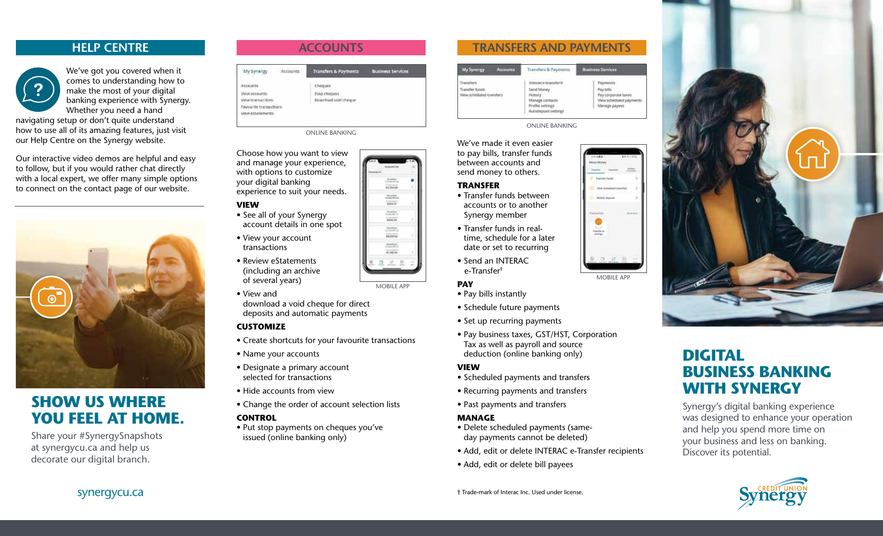# **HELP CENTRE**



We've got you covered when it comes to understanding how to make the most of your digital banking experience with Synergy. Whether you need a hand

navigating setup or don't quite understand how to use all of its amazing features, just visit our Help Centre on the Synergy website.

Our interactive video demos are helpful and easy to follow, but if you would rather chat directly with a local expert, we offer many simple options to connect on the contact page of our website.



# **SHOW US WHERE YOU FEEL AT HOME.**

Share your #SynergySnapshots at synergycu.ca and help us decorate our digital branch.

# **ACCOUNTS**

|                        | Accounts | Transfers & Payments | <b>Business Services</b> |
|------------------------|----------|----------------------|--------------------------|
|                        |          |                      |                          |
| View accounts:         |          | Step choques         |                          |
| Vinw transactions      |          | Download void cheque |                          |
| Pavourite transactions |          |                      |                          |
| view estatements       |          |                      |                          |

ONLINE BANKING

Choose how you want to view and manage your experience, with options to customize your digital banking experience to suit your needs.

### **VIEW**

- See all of your Synergy account details in one spot
- View your account transactions
- Review eStatements (including an archive of several years)
- View and download a void cheque for direct deposits and automatic payments

### **CUSTOMIZE**

- Create shortcuts for your favourite transactions
- Name your accounts
- Designate a primary account selected for transactions
- Hide accounts from view
- Change the order of account selection lists

## **CONTROL**

• Put stop payments on cheques you've issued (online banking only)



| My Synergy<br><b>Accounts</b>              | Transfers & Payments<br>Control of the College and Control of the                    | <b>Business Services</b>                                                      |
|--------------------------------------------|--------------------------------------------------------------------------------------|-------------------------------------------------------------------------------|
| <b>Trainsfers</b>                          | Interace-transfer@                                                                   | <b>Payments</b>                                                               |
| Transfer funds<br>View scheduled transfers | Send Money<br>History<br>Manage contacts<br>Profile settings<br>Autodeposit settings | Pay bills<br>Pay corporate taxes.<br>View scheduled payments<br>Manage payees |

#### ONLINE BANKING

We've made it even easier to pay bills, transfer funds between accounts and send money to others.

#### **TRANSFER**

- Transfer funds between accounts or to another Synergy member
- Transfer funds in realtime, schedule for a later date or set to recurring
- Send an INTERAC e-Transfer†

#### **PAY**

- Pay bills instantly
- Schedule future payments
- Set up recurring payments
- Pay business taxes, GST/HST, Corporation Tax as well as payroll and source deduction (online banking only)

#### **VIEW**

- Scheduled payments and transfers
- Recurring payments and transfers
- Past payments and transfers

#### **MANAGE**

- Delete scheduled payments (sameday payments cannot be deleted)
- Add, edit or delete INTERAC e-Transfer recipients
- Add, edit or delete bill payees



# **DIGITAL BUSINESS BANKING WITH SYNERGY**

Synergy's digital banking experience was designed to enhance your operation and help you spend more time on your business and less on banking. Discover its potential.